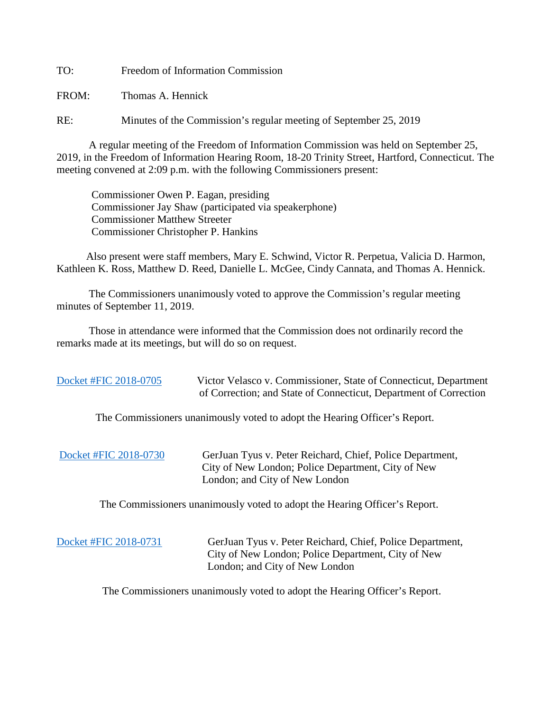TO: Freedom of Information Commission

FROM: Thomas A. Hennick

RE: Minutes of the Commission's regular meeting of September 25, 2019

A regular meeting of the Freedom of Information Commission was held on September 25, 2019, in the Freedom of Information Hearing Room, 18-20 Trinity Street, Hartford, Connecticut. The meeting convened at 2:09 p.m. with the following Commissioners present:

 Commissioner Owen P. Eagan, presiding Commissioner Jay Shaw (participated via speakerphone) Commissioner Matthew Streeter Commissioner Christopher P. Hankins

 Also present were staff members, Mary E. Schwind, Victor R. Perpetua, Valicia D. Harmon, Kathleen K. Ross, Matthew D. Reed, Danielle L. McGee, Cindy Cannata, and Thomas A. Hennick.

The Commissioners unanimously voted to approve the Commission's regular meeting minutes of September 11, 2019.

 Those in attendance were informed that the Commission does not ordinarily record the remarks made at its meetings, but will do so on request.

[Docket #FIC 2018-0705](https://portal.ct.gov/-/media/FOI/FinalDecisions/2019/Sept25/2018-0705.pdf?la=en) Victor Velasco v. Commissioner, State of Connecticut, Department of Correction; and State of Connecticut, Department of Correction

The Commissioners unanimously voted to adopt the Hearing Officer's Report.

[Docket #FIC 2018-0730](https://portal.ct.gov/-/media/FOI/FinalDecisions/2019/Sept25/2018-0730.pdf?la=en) GerJuan Tyus v. Peter Reichard, Chief, Police Department, City of New London; Police Department, City of New London; and City of New London

The Commissioners unanimously voted to adopt the Hearing Officer's Report.

 [Docket #FIC 2018-0731](https://portal.ct.gov/-/media/FOI/FinalDecisions/2019/Sept25/2018-0731.pdf?la=en) GerJuan Tyus v. Peter Reichard, Chief, Police Department, City of New London; Police Department, City of New London; and City of New London

The Commissioners unanimously voted to adopt the Hearing Officer's Report.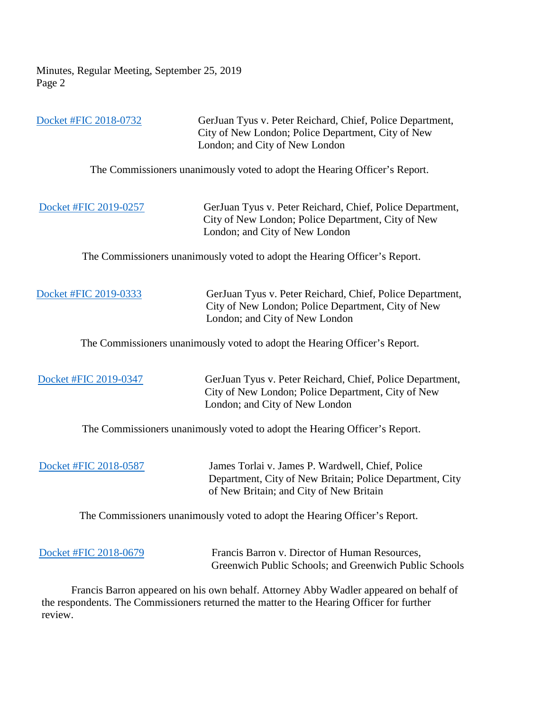Minutes, Regular Meeting, September 25, 2019 Page 2

 [Docket #FIC 2018-0732](https://portal.ct.gov/-/media/FOI/FinalDecisions/2019/Sept25/2018-0732.pdf?la=en) GerJuan Tyus v. Peter Reichard, Chief, Police Department, City of New London; Police Department, City of New London; and City of New London The Commissioners unanimously voted to adopt the Hearing Officer's Report. [Docket #FIC 2019-0257](https://portal.ct.gov/-/media/FOI/FinalDecisions/2019/Sept25/2019-0257.pdf?la=en) GerJuan Tyus v. Peter Reichard, Chief, Police Department, City of New London; Police Department, City of New London; and City of New London The Commissioners unanimously voted to adopt the Hearing Officer's Report.

[Docket #FIC 2019-0333](https://portal.ct.gov/-/media/FOI/FinalDecisions/2019/Sept25/2019-0333.pdf?la=en) GerJuan Tyus v. Peter Reichard, Chief, Police Department, City of New London; Police Department, City of New London; and City of New London

The Commissioners unanimously voted to adopt the Hearing Officer's Report.

 [Docket #FIC 2019-0347](https://portal.ct.gov/-/media/FOI/FinalDecisions/2019/Sept25/2019-0347.pdf?la=en) GerJuan Tyus v. Peter Reichard, Chief, Police Department, City of New London; Police Department, City of New London; and City of New London

The Commissioners unanimously voted to adopt the Hearing Officer's Report.

[Docket #FIC 2018-0587](https://portal.ct.gov/-/media/FOI/FinalDecisions/2019/Sept25/2018-0587.pdf?la=en) James Torlai v. James P. Wardwell, Chief, Police Department, City of New Britain; Police Department, City of New Britain; and City of New Britain

The Commissioners unanimously voted to adopt the Hearing Officer's Report.

[Docket #FIC 2018-0679](https://portal.ct.gov/-/media/FOI/FinalDecisions/2019/Sept25/2018-0679.pdf?la=en) Francis Barron v. Director of Human Resources, Greenwich Public Schools; and Greenwich Public Schools

 Francis Barron appeared on his own behalf. Attorney Abby Wadler appeared on behalf of the respondents. The Commissioners returned the matter to the Hearing Officer for further review.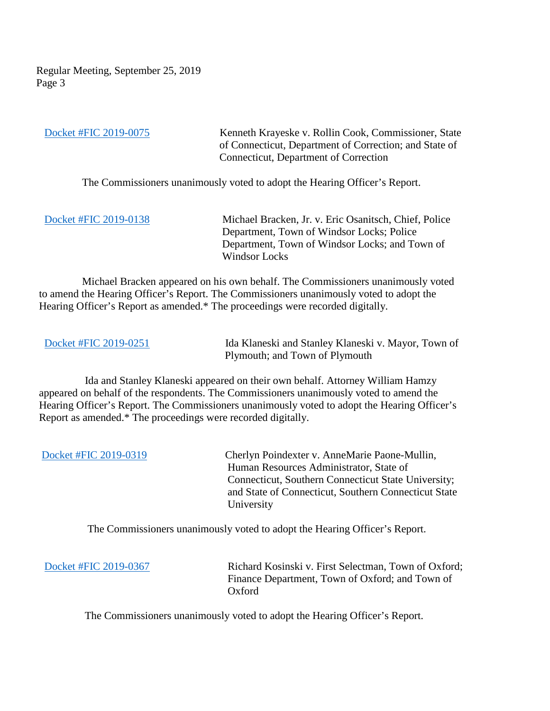Regular Meeting, September 25, 2019 Page 3

 [Docket #FIC 2019-0075](https://portal.ct.gov/-/media/FOI/FinalDecisions/2019/Sept25/2019-0075.pdf?la=en) Kenneth Krayeske v. Rollin Cook, Commissioner, State of Connecticut, Department of Correction; and State of Connecticut, Department of Correction

The Commissioners unanimously voted to adopt the Hearing Officer's Report.

 [Docket #FIC 2019-0138](https://portal.ct.gov/-/media/FOI/FinalDecisions/2019/Sept25/2019-0138.pdf?la=en) Michael Bracken, Jr. v. Eric Osanitsch, Chief, Police Department, Town of Windsor Locks; Police Department, Town of Windsor Locks; and Town of Windsor Locks

 Michael Bracken appeared on his own behalf. The Commissioners unanimously voted to amend the Hearing Officer's Report. The Commissioners unanimously voted to adopt the Hearing Officer's Report as amended.\* The proceedings were recorded digitally.

[Docket #FIC 2019-0251](https://portal.ct.gov/-/media/FOI/FinalDecisions/2019/Sept25/2019-0251.pdf?la=en) Ida Klaneski and Stanley Klaneski v. Mayor, Town of Plymouth; and Town of Plymouth

 Ida and Stanley Klaneski appeared on their own behalf. Attorney William Hamzy appeared on behalf of the respondents. The Commissioners unanimously voted to amend the Hearing Officer's Report. The Commissioners unanimously voted to adopt the Hearing Officer's Report as amended.\* The proceedings were recorded digitally.

 [Docket #FIC 2019-0319](https://portal.ct.gov/-/media/FOI/FinalDecisions/2019/Sept25/2019-0319.pdf?la=en) Cherlyn Poindexter v. AnneMarie Paone-Mullin, Human Resources Administrator, State of Connecticut, Southern Connecticut State University; and State of Connecticut, Southern Connecticut State University

The Commissioners unanimously voted to adopt the Hearing Officer's Report.

[Docket #FIC 2019-0367](https://portal.ct.gov/-/media/FOI/FinalDecisions/2019/Sept25/2019-0367.pdf?la=en) Richard Kosinski v. First Selectman, Town of Oxford; Finance Department, Town of Oxford; and Town of Oxford

The Commissioners unanimously voted to adopt the Hearing Officer's Report.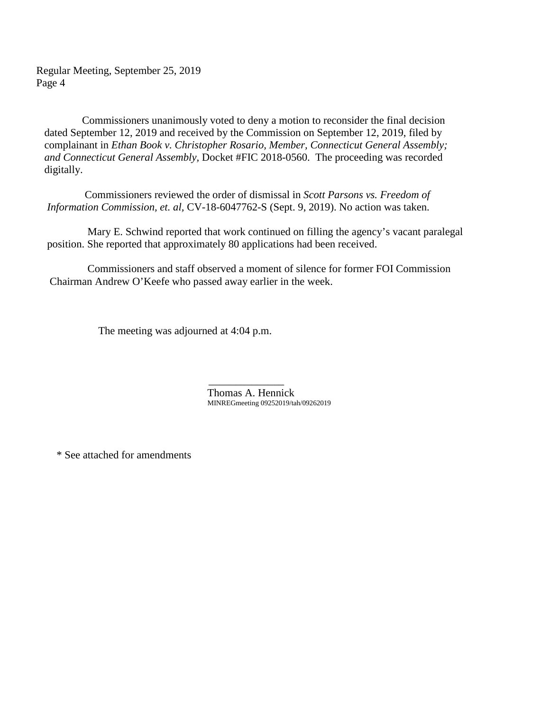Regular Meeting, September 25, 2019 Page 4

 Commissioners unanimously voted to deny a motion to reconsider the final decision dated September 12, 2019 and received by the Commission on September 12, 2019, filed by complainant in *Ethan Book v. Christopher Rosario, Member, Connecticut General Assembly; and Connecticut General Assembly,* Docket #FIC 2018-0560. The proceeding was recorded digitally.

 Commissioners reviewed the order of dismissal in *Scott Parsons vs. Freedom of Information Commission, et. al,* CV-18-6047762-S (Sept. 9, 2019). No action was taken.

 Mary E. Schwind reported that work continued on filling the agency's vacant paralegal position. She reported that approximately 80 applications had been received.

 Commissioners and staff observed a moment of silence for former FOI Commission Chairman Andrew O'Keefe who passed away earlier in the week.

The meeting was adjourned at 4:04 p.m.

 $\mathcal{L}_\text{max}$  , which is a set of the set of the set of the set of the set of the set of the set of the set of the set of the set of the set of the set of the set of the set of the set of the set of the set of the set of Thomas A. Hennick MINREGmeeting 09252019/tah/09262019

\* See attached for amendments